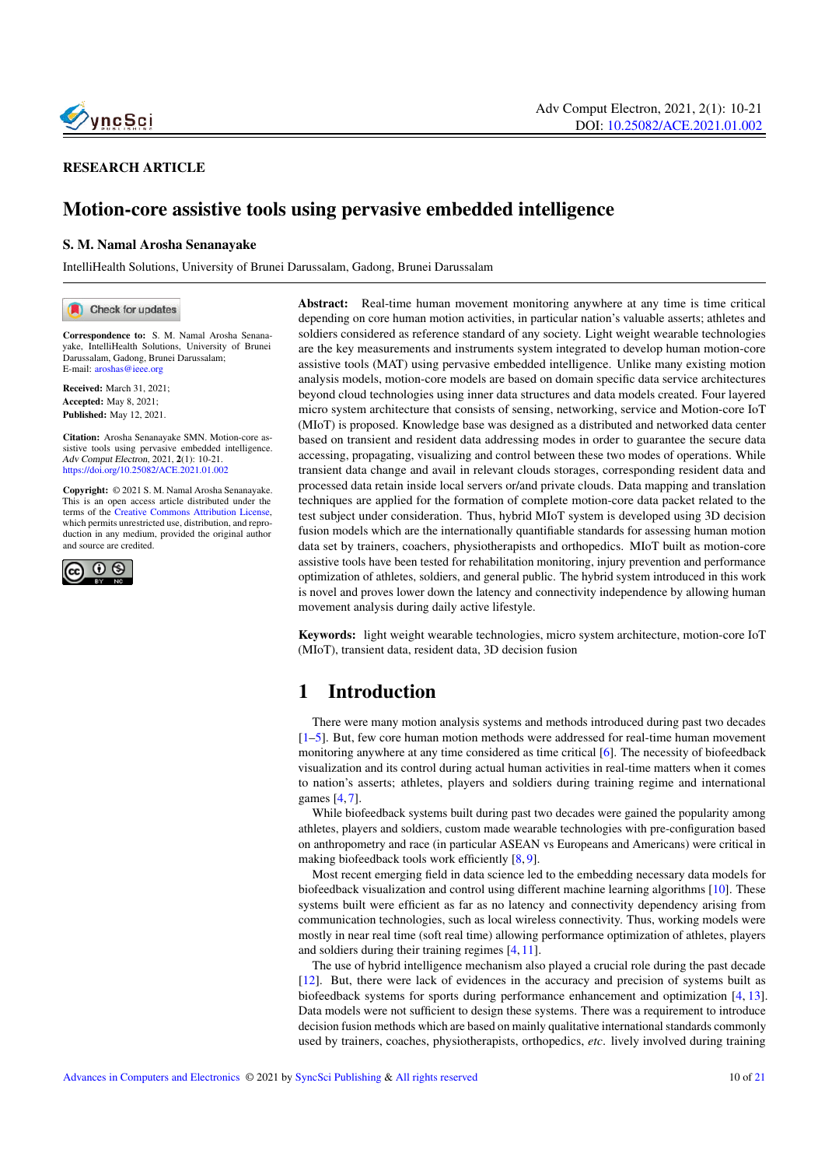

### RESEARCH ARTICLE

# Motion-core assistive tools using pervasive embedded intelligence

#### S. M. Namal Arosha Senanayake

IntelliHealth Solutions, University of Brunei Darussalam, Gadong, Brunei Darussalam

Check for updates

Correspondence to: S. M. Namal Arosha Senanayake, IntelliHealth Solutions, University of Brunei Darussalam, Gadong, Brunei Darussalam; E-mail: <aroshas@ieee.org>

Received: March 31, 2021; Accepted: May 8, 2021; Published: May 12, 2021.

Citation: Arosha Senanayake SMN. Motion-core assistive tools using pervasive embedded intelligence. Adv Comput Electron, 2021, 2(1): 10-21. <https://doi.org/10.25082/ACE.2021.01.002>

Copyright: © 2021 S. M. Namal Arosha Senanayake. This is an open access article distributed under the terms of the [Creative Commons Attribution License,](https://creativecommons.org/licenses/by/4.0/) which permits unrestricted use, distribution, and reproduction in any medium, provided the original author and source are credited.



Abstract: Real-time human movement monitoring anywhere at any time is time critical depending on core human motion activities, in particular nation's valuable asserts; athletes and soldiers considered as reference standard of any society. Light weight wearable technologies are the key measurements and instruments system integrated to develop human motion-core assistive tools (MAT) using pervasive embedded intelligence. Unlike many existing motion analysis models, motion-core models are based on domain specific data service architectures beyond cloud technologies using inner data structures and data models created. Four layered micro system architecture that consists of sensing, networking, service and Motion-core IoT (MIoT) is proposed. Knowledge base was designed as a distributed and networked data center based on transient and resident data addressing modes in order to guarantee the secure data accessing, propagating, visualizing and control between these two modes of operations. While transient data change and avail in relevant clouds storages, corresponding resident data and processed data retain inside local servers or/and private clouds. Data mapping and translation techniques are applied for the formation of complete motion-core data packet related to the test subject under consideration. Thus, hybrid MIoT system is developed using 3D decision fusion models which are the internationally quantifiable standards for assessing human motion data set by trainers, coachers, physiotherapists and orthopedics. MIoT built as motion-core assistive tools have been tested for rehabilitation monitoring, injury prevention and performance optimization of athletes, soldiers, and general public. The hybrid system introduced in this work is novel and proves lower down the latency and connectivity independence by allowing human movement analysis during daily active lifestyle.

Keywords: light weight wearable technologies, micro system architecture, motion-core IoT (MIoT), transient data, resident data, 3D decision fusion

# 1 Introduction

There were many motion analysis systems and methods introduced during past two decades [\[1–](#page-11-0)[5\]](#page-11-1). But, few core human motion methods were addressed for real-time human movement monitoring anywhere at any time considered as time critical [\[6\]](#page-11-2). The necessity of biofeedback visualization and its control during actual human activities in real-time matters when it comes to nation's asserts; athletes, players and soldiers during training regime and international games [\[4,](#page-11-3) [7\]](#page-11-4).

While biofeedback systems built during past two decades were gained the popularity among athletes, players and soldiers, custom made wearable technologies with pre-configuration based on anthropometry and race (in particular ASEAN vs Europeans and Americans) were critical in making biofeedback tools work efficiently [\[8,](#page-11-5) [9\]](#page-11-6).

Most recent emerging field in data science led to the embedding necessary data models for biofeedback visualization and control using different machine learning algorithms [\[10\]](#page-11-7). These systems built were efficient as far as no latency and connectivity dependency arising from communication technologies, such as local wireless connectivity. Thus, working models were mostly in near real time (soft real time) allowing performance optimization of athletes, players and soldiers during their training regimes [\[4,](#page-11-3) [11\]](#page-11-8).

The use of hybrid intelligence mechanism also played a crucial role during the past decade [\[12\]](#page-11-9). But, there were lack of evidences in the accuracy and precision of systems built as biofeedback systems for sports during performance enhancement and optimization [\[4,](#page-11-3) [13\]](#page-11-10). Data models were not sufficient to design these systems. There was a requirement to introduce decision fusion methods which are based on mainly qualitative international standards commonly used by trainers, coaches, physiotherapists, orthopedics, *etc*. lively involved during training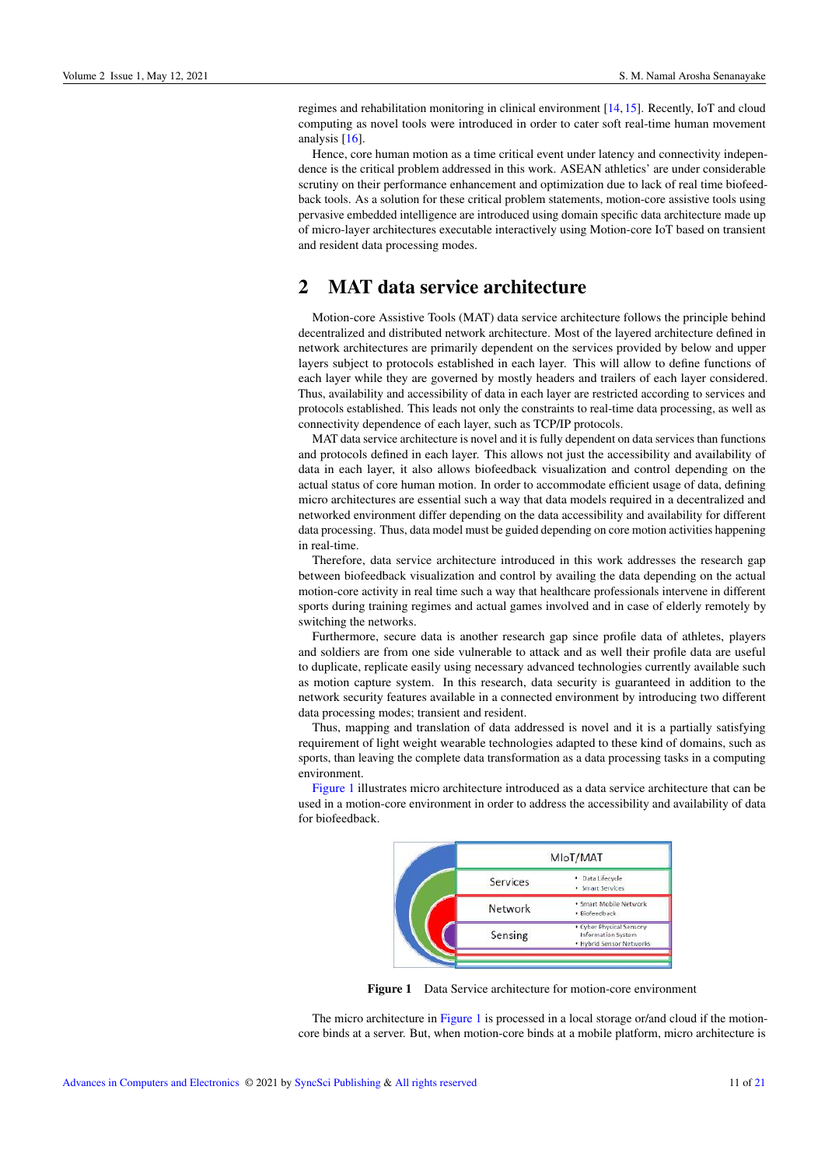regimes and rehabilitation monitoring in clinical environment [\[14,](#page-11-12) [15\]](#page-11-13). Recently, IoT and cloud computing as novel tools were introduced in order to cater soft real-time human movement analysis  $[16]$ .

Hence, core human motion as a time critical event under latency and connectivity independence is the critical problem addressed in this work. ASEAN athletics' are under considerable scrutiny on their performance enhancement and optimization due to lack of real time biofeedback tools. As a solution for these critical problem statements, motion-core assistive tools using pervasive embedded intelligence are introduced using domain specific data architecture made up of micro-layer architectures executable interactively using Motion-core IoT based on transient and resident data processing modes.

# 2 MAT data service architecture

Motion-core Assistive Tools (MAT) data service architecture follows the principle behind decentralized and distributed network architecture. Most of the layered architecture defined in network architectures are primarily dependent on the services provided by below and upper layers subject to protocols established in each layer. This will allow to define functions of each layer while they are governed by mostly headers and trailers of each layer considered. Thus, availability and accessibility of data in each layer are restricted according to services and protocols established. This leads not only the constraints to real-time data processing, as well as connectivity dependence of each layer, such as TCP/IP protocols.

MAT data service architecture is novel and it is fully dependent on data services than functions and protocols defined in each layer. This allows not just the accessibility and availability of data in each layer, it also allows biofeedback visualization and control depending on the actual status of core human motion. In order to accommodate efficient usage of data, defining micro architectures are essential such a way that data models required in a decentralized and networked environment differ depending on the data accessibility and availability for different data processing. Thus, data model must be guided depending on core motion activities happening in real-time.

Therefore, data service architecture introduced in this work addresses the research gap between biofeedback visualization and control by availing the data depending on the actual motion-core activity in real time such a way that healthcare professionals intervene in different sports during training regimes and actual games involved and in case of elderly remotely by switching the networks.

Furthermore, secure data is another research gap since profile data of athletes, players and soldiers are from one side vulnerable to attack and as well their profile data are useful to duplicate, replicate easily using necessary advanced technologies currently available such as motion capture system. In this research, data security is guaranteed in addition to the network security features available in a connected environment by introducing two different data processing modes; transient and resident.

Thus, mapping and translation of data addressed is novel and it is a partially satisfying requirement of light weight wearable technologies adapted to these kind of domains, such as sports, than leaving the complete data transformation as a data processing tasks in a computing environment.

<span id="page-1-0"></span>[Figure 1](#page-1-0) illustrates micro architecture introduced as a data service architecture that can be used in a motion-core environment in order to address the accessibility and availability of data for biofeedback.



Figure 1 Data Service architecture for motion-core environment

The micro architecture in [Figure 1](#page-1-0) is processed in a local storage or/and cloud if the motioncore binds at a server. But, when motion-core binds at a mobile platform, micro architecture is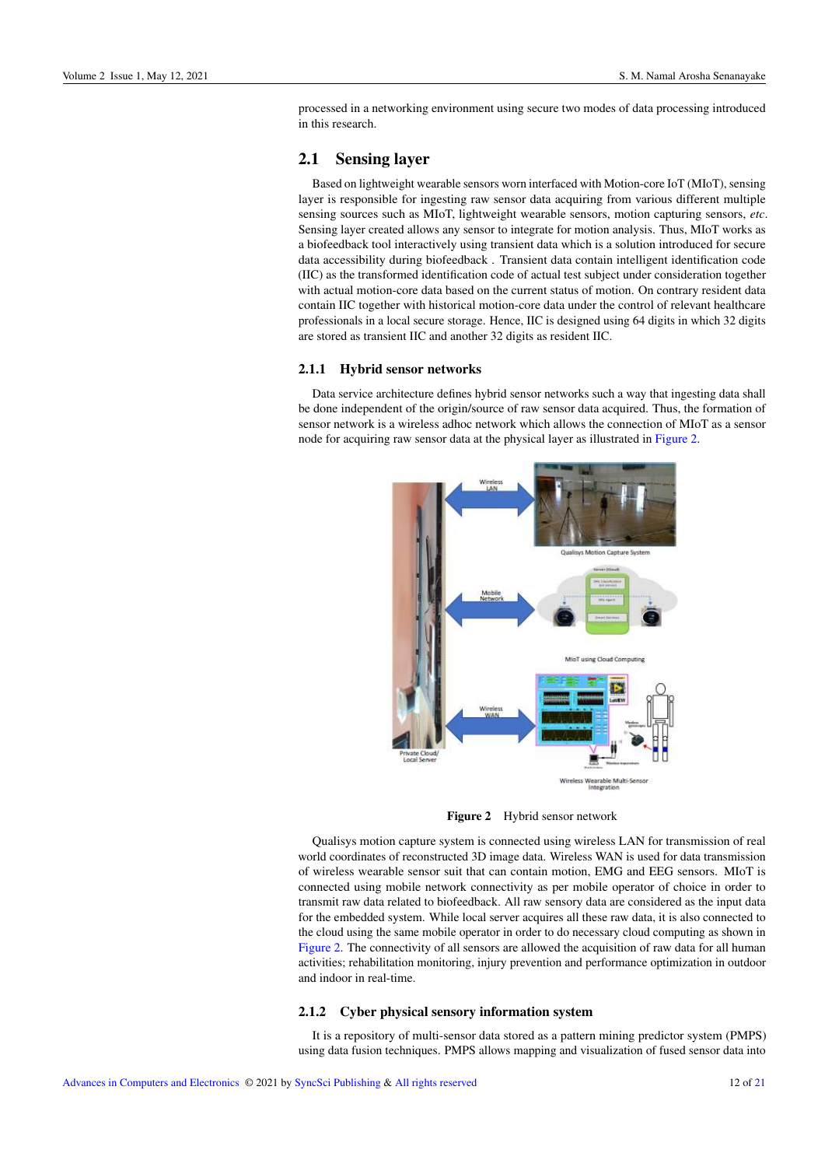processed in a networking environment using secure two modes of data processing introduced in this research.

### 2.1 Sensing layer

Based on lightweight wearable sensors worn interfaced with Motion-core IoT (MIoT), sensing layer is responsible for ingesting raw sensor data acquiring from various different multiple sensing sources such as MIoT, lightweight wearable sensors, motion capturing sensors, *etc*. Sensing layer created allows any sensor to integrate for motion analysis. Thus, MIoT works as a biofeedback tool interactively using transient data which is a solution introduced for secure data accessibility during biofeedback . Transient data contain intelligent identification code (IIC) as the transformed identification code of actual test subject under consideration together with actual motion-core data based on the current status of motion. On contrary resident data contain IIC together with historical motion-core data under the control of relevant healthcare professionals in a local secure storage. Hence, IIC is designed using 64 digits in which 32 digits are stored as transient IIC and another 32 digits as resident IIC.

#### 2.1.1 Hybrid sensor networks

<span id="page-2-0"></span>Data service architecture defines hybrid sensor networks such a way that ingesting data shall be done independent of the origin/source of raw sensor data acquired. Thus, the formation of sensor network is a wireless adhoc network which allows the connection of MIoT as a sensor node for acquiring raw sensor data at the physical layer as illustrated in [Figure 2.](#page-2-0)



Figure 2 Hybrid sensor network

Qualisys motion capture system is connected using wireless LAN for transmission of real world coordinates of reconstructed 3D image data. Wireless WAN is used for data transmission of wireless wearable sensor suit that can contain motion, EMG and EEG sensors. MIoT is connected using mobile network connectivity as per mobile operator of choice in order to transmit raw data related to biofeedback. All raw sensory data are considered as the input data for the embedded system. While local server acquires all these raw data, it is also connected to the cloud using the same mobile operator in order to do necessary cloud computing as shown in [Figure 2.](#page-2-0) The connectivity of all sensors are allowed the acquisition of raw data for all human activities; rehabilitation monitoring, injury prevention and performance optimization in outdoor and indoor in real-time.

#### 2.1.2 Cyber physical sensory information system

It is a repository of multi-sensor data stored as a pattern mining predictor system (PMPS) using data fusion techniques. PMPS allows mapping and visualization of fused sensor data into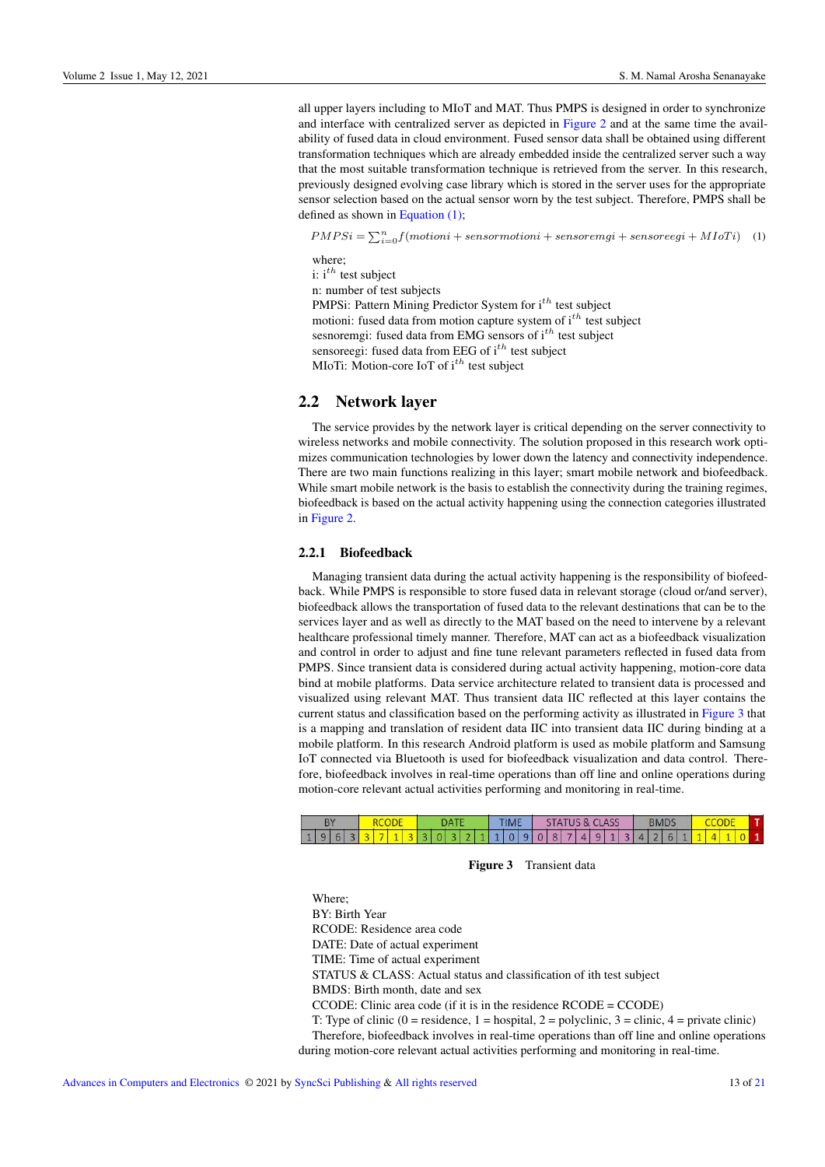all upper layers including to MIoT and MAT. Thus PMPS is designed in order to synchronize and interface with centralized server as depicted in [Figure 2](#page-2-0) and at the same time the availability of fused data in cloud environment. Fused sensor data shall be obtained using different transformation techniques which are already embedded inside the centralized server such a way that the most suitable transformation technique is retrieved from the server. In this research, previously designed evolving case library which is stored in the server uses for the appropriate sensor selection based on the actual sensor worn by the test subject. Therefore, PMPS shall be defined as shown in [Equation \(1\);](#page-3-0)

<span id="page-3-0"></span> $PMPSi = \sum_{i=0}^{n} f(motioni + sensor motioni + sensoremgi + sensoreegi + MIoTi)$  (1)

where; i:  $i^{th}$  test subject n: number of test subjects PMPSi: Pattern Mining Predictor System for  $i^{th}$  test subject motioni: fused data from motion capture system of  $i<sup>th</sup>$  test subject sesnoremgi: fused data from EMG sensors of i<sup>th</sup> test subject sensoreegi: fused data from EEG of  $i^{th}$  test subject MIoTi: Motion-core IoT of  $i^{th}$  test subject

### 2.2 Network layer

The service provides by the network layer is critical depending on the server connectivity to wireless networks and mobile connectivity. The solution proposed in this research work optimizes communication technologies by lower down the latency and connectivity independence. There are two main functions realizing in this layer; smart mobile network and biofeedback. While smart mobile network is the basis to establish the connectivity during the training regimes, biofeedback is based on the actual activity happening using the connection categories illustrated in [Figure 2.](#page-2-0)

#### 2.2.1 Biofeedback

Managing transient data during the actual activity happening is the responsibility of biofeedback. While PMPS is responsible to store fused data in relevant storage (cloud or/and server), biofeedback allows the transportation of fused data to the relevant destinations that can be to the services layer and as well as directly to the MAT based on the need to intervene by a relevant healthcare professional timely manner. Therefore, MAT can act as a biofeedback visualization and control in order to adjust and fine tune relevant parameters reflected in fused data from PMPS. Since transient data is considered during actual activity happening, motion-core data bind at mobile platforms. Data service architecture related to transient data is processed and visualized using relevant MAT. Thus transient data IIC reflected at this layer contains the current status and classification based on the performing activity as illustrated in [Figure 3](#page-3-1) that is a mapping and translation of resident data IIC into transient data IIC during binding at a mobile platform. In this research Android platform is used as mobile platform and Samsung IoT connected via Bluetooth is used for biofeedback visualization and data control. Therefore, biofeedback involves in real-time operations than off line and online operations during motion-core relevant actual activities performing and monitoring in real-time.

<span id="page-3-1"></span>

#### Figure 3 Transient data

Where; BY: Birth Year RCODE: Residence area code DATE: Date of actual experiment TIME: Time of actual experiment STATUS & CLASS: Actual status and classification of ith test subject BMDS: Birth month, date and sex CCODE: Clinic area code (if it is in the residence RCODE = CCODE) T: Type of clinic (0 = residence, 1 = hospital, 2 = polyclinic, 3 = clinic, 4 = private clinic) Therefore, biofeedback involves in real-time operations than off line and online operations during motion-core relevant actual activities performing and monitoring in real-time.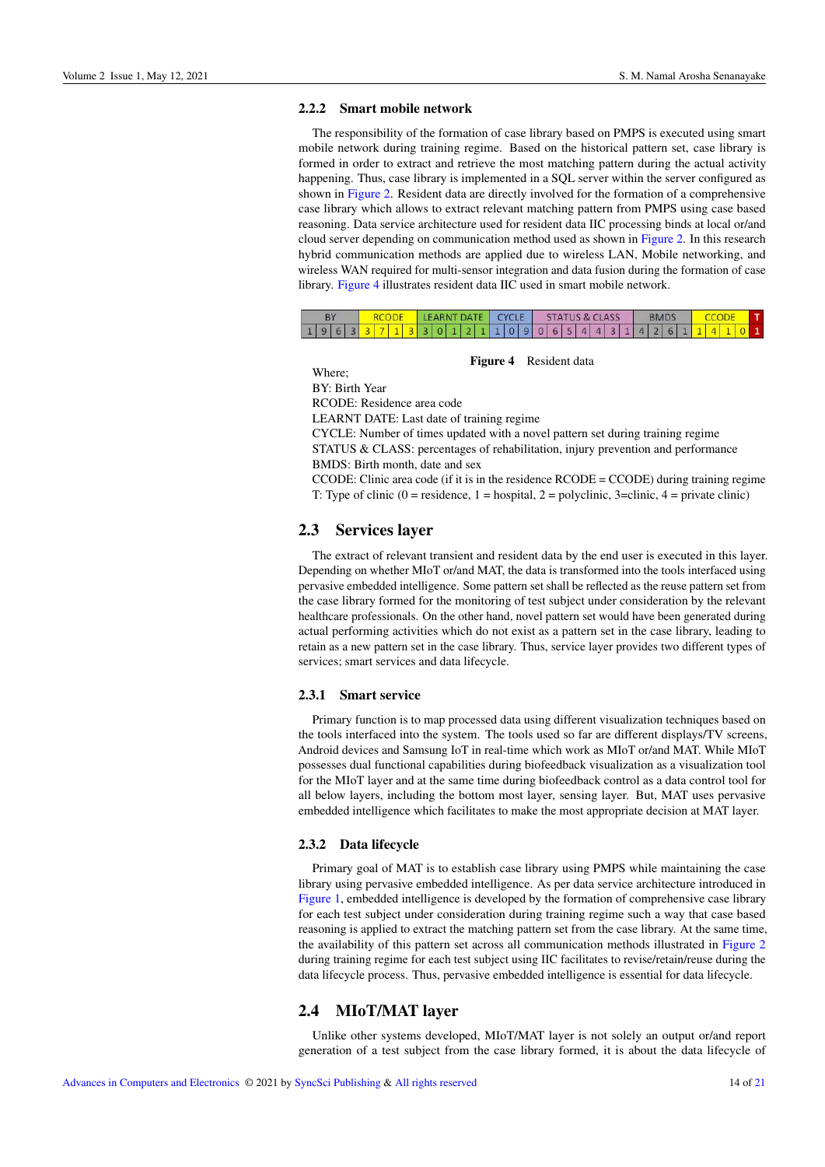### 2.2.2 Smart mobile network

The responsibility of the formation of case library based on PMPS is executed using smart mobile network during training regime. Based on the historical pattern set, case library is formed in order to extract and retrieve the most matching pattern during the actual activity happening. Thus, case library is implemented in a SQL server within the server configured as shown in [Figure 2.](#page-2-0) Resident data are directly involved for the formation of a comprehensive case library which allows to extract relevant matching pattern from PMPS using case based reasoning. Data service architecture used for resident data IIC processing binds at local or/and cloud server depending on communication method used as shown in [Figure 2.](#page-2-0) In this research hybrid communication methods are applied due to wireless LAN, Mobile networking, and wireless WAN required for multi-sensor integration and data fusion during the formation of case library. [Figure 4](#page-4-0) illustrates resident data IIC used in smart mobile network.

<span id="page-4-0"></span>

Figure 4 Resident data

BY: Birth Year

Where;

RCODE: Residence area code

LEARNT DATE: Last date of training regime

CYCLE: Number of times updated with a novel pattern set during training regime

STATUS & CLASS: percentages of rehabilitation, injury prevention and performance BMDS: Birth month, date and sex

CCODE: Clinic area code (if it is in the residence RCODE = CCODE) during training regime

T: Type of clinic  $(0 =$  residence,  $1 =$  hospital,  $2 =$  polyclinic,  $3 =$ clinic,  $4 =$  private clinic)

### 2.3 Services layer

The extract of relevant transient and resident data by the end user is executed in this layer. Depending on whether MIoT or/and MAT, the data is transformed into the tools interfaced using pervasive embedded intelligence. Some pattern set shall be reflected as the reuse pattern set from the case library formed for the monitoring of test subject under consideration by the relevant healthcare professionals. On the other hand, novel pattern set would have been generated during actual performing activities which do not exist as a pattern set in the case library, leading to retain as a new pattern set in the case library. Thus, service layer provides two different types of services; smart services and data lifecycle.

### 2.3.1 Smart service

Primary function is to map processed data using different visualization techniques based on the tools interfaced into the system. The tools used so far are different displays/TV screens, Android devices and Samsung IoT in real-time which work as MIoT or/and MAT. While MIoT possesses dual functional capabilities during biofeedback visualization as a visualization tool for the MIoT layer and at the same time during biofeedback control as a data control tool for all below layers, including the bottom most layer, sensing layer. But, MAT uses pervasive embedded intelligence which facilitates to make the most appropriate decision at MAT layer.

### 2.3.2 Data lifecycle

Primary goal of MAT is to establish case library using PMPS while maintaining the case library using pervasive embedded intelligence. As per data service architecture introduced in [Figure 1,](#page-1-0) embedded intelligence is developed by the formation of comprehensive case library for each test subject under consideration during training regime such a way that case based reasoning is applied to extract the matching pattern set from the case library. At the same time, the availability of this pattern set across all communication methods illustrated in [Figure 2](#page-2-0) during training regime for each test subject using IIC facilitates to revise/retain/reuse during the data lifecycle process. Thus, pervasive embedded intelligence is essential for data lifecycle.

### 2.4 MIoT/MAT layer

Unlike other systems developed, MIoT/MAT layer is not solely an output or/and report generation of a test subject from the case library formed, it is about the data lifecycle of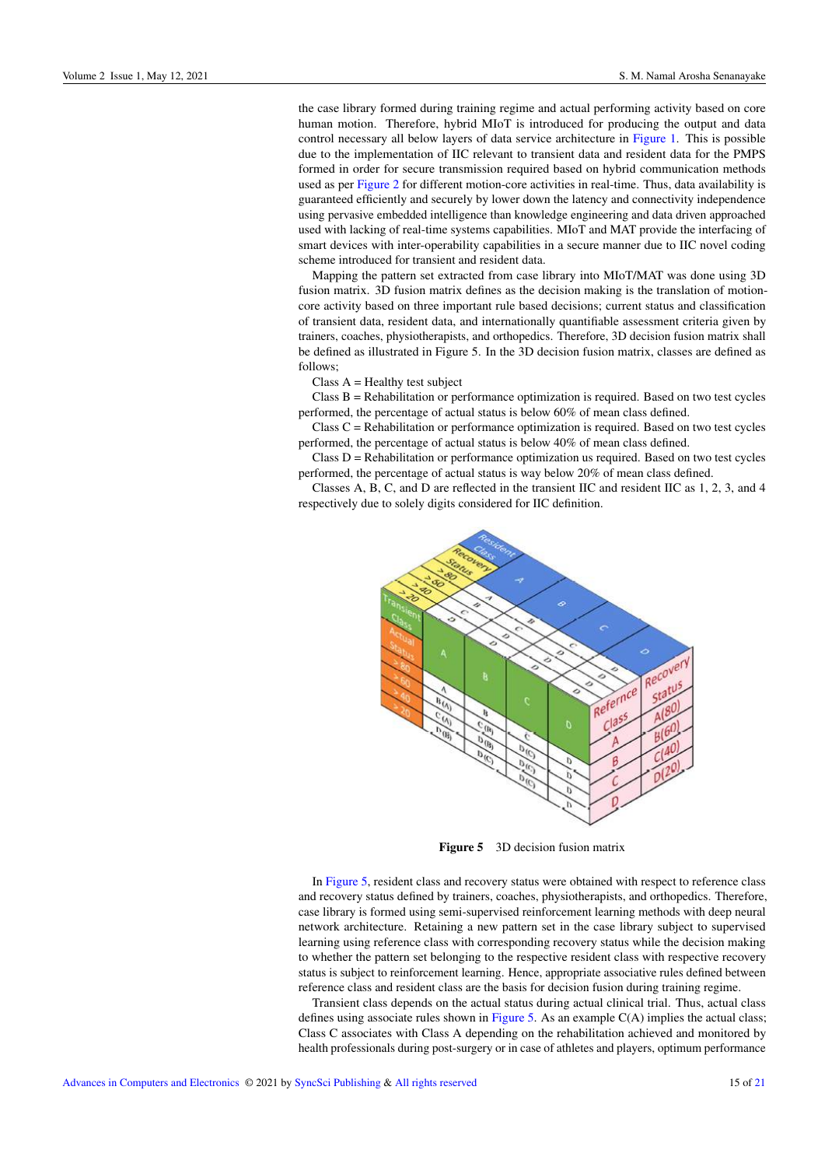the case library formed during training regime and actual performing activity based on core human motion. Therefore, hybrid MIoT is introduced for producing the output and data control necessary all below layers of data service architecture in [Figure 1.](#page-1-0) This is possible due to the implementation of IIC relevant to transient data and resident data for the PMPS formed in order for secure transmission required based on hybrid communication methods used as per [Figure 2](#page-2-0) for different motion-core activities in real-time. Thus, data availability is guaranteed efficiently and securely by lower down the latency and connectivity independence using pervasive embedded intelligence than knowledge engineering and data driven approached used with lacking of real-time systems capabilities. MIoT and MAT provide the interfacing of smart devices with inter-operability capabilities in a secure manner due to IIC novel coding scheme introduced for transient and resident data.

Mapping the pattern set extracted from case library into MIoT/MAT was done using 3D fusion matrix. 3D fusion matrix defines as the decision making is the translation of motioncore activity based on three important rule based decisions; current status and classification of transient data, resident data, and internationally quantifiable assessment criteria given by trainers, coaches, physiotherapists, and orthopedics. Therefore, 3D decision fusion matrix shall be defined as illustrated in Figure 5. In the 3D decision fusion matrix, classes are defined as follows;

Class  $A =$  Healthy test subject

Class  $B =$  Rehabilitation or performance optimization is required. Based on two test cycles performed, the percentage of actual status is below 60% of mean class defined.

Class  $C =$  Rehabilitation or performance optimization is required. Based on two test cycles performed, the percentage of actual status is below 40% of mean class defined.

 $Class D = Rehabilitation$  or performance optimization us required. Based on two test cycles performed, the percentage of actual status is way below 20% of mean class defined.

<span id="page-5-0"></span>Classes A, B, C, and D are reflected in the transient IIC and resident IIC as 1, 2, 3, and 4 respectively due to solely digits considered for IIC definition.



Figure 5 3D decision fusion matrix

In [Figure 5,](#page-5-0) resident class and recovery status were obtained with respect to reference class and recovery status defined by trainers, coaches, physiotherapists, and orthopedics. Therefore, case library is formed using semi-supervised reinforcement learning methods with deep neural network architecture. Retaining a new pattern set in the case library subject to supervised learning using reference class with corresponding recovery status while the decision making to whether the pattern set belonging to the respective resident class with respective recovery status is subject to reinforcement learning. Hence, appropriate associative rules defined between reference class and resident class are the basis for decision fusion during training regime.

Transient class depends on the actual status during actual clinical trial. Thus, actual class defines using associate rules shown in [Figure 5.](#page-5-0) As an example  $C(A)$  implies the actual class; Class C associates with Class A depending on the rehabilitation achieved and monitored by health professionals during post-surgery or in case of athletes and players, optimum performance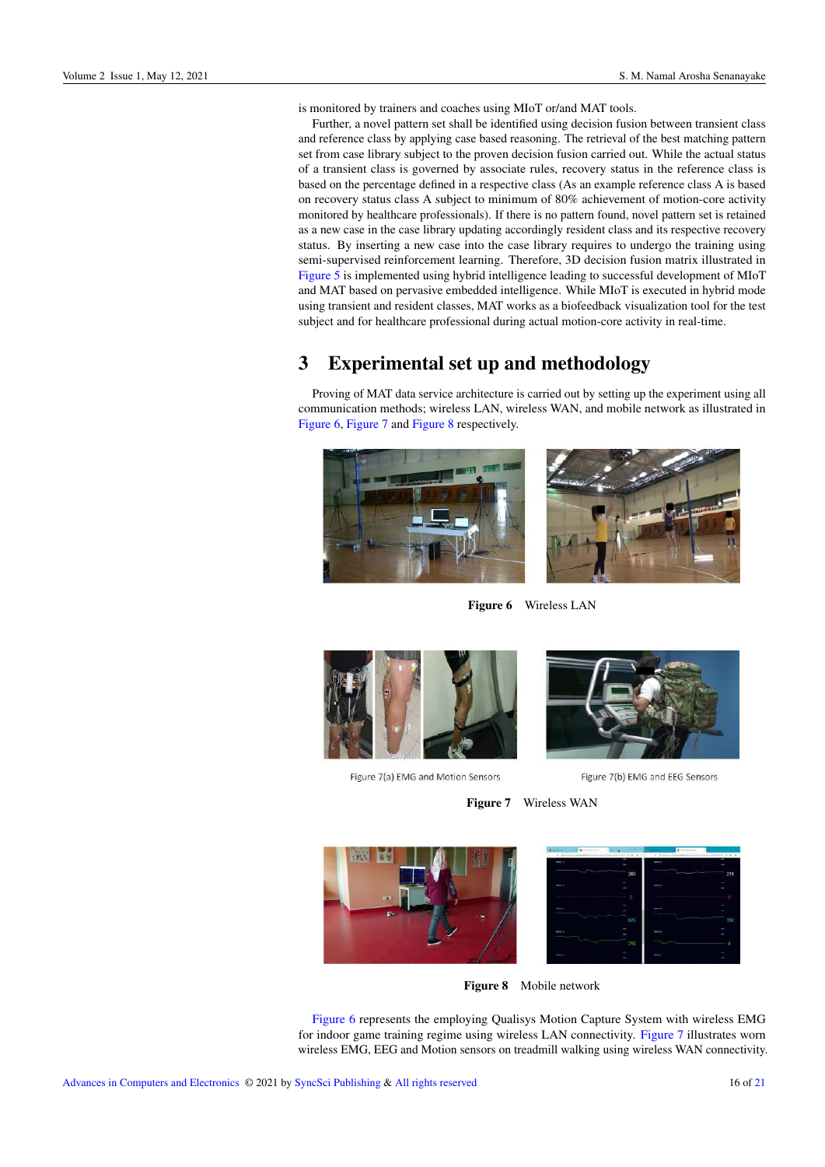is monitored by trainers and coaches using MIoT or/and MAT tools.

Further, a novel pattern set shall be identified using decision fusion between transient class and reference class by applying case based reasoning. The retrieval of the best matching pattern set from case library subject to the proven decision fusion carried out. While the actual status of a transient class is governed by associate rules, recovery status in the reference class is based on the percentage defined in a respective class (As an example reference class A is based on recovery status class A subject to minimum of 80% achievement of motion-core activity monitored by healthcare professionals). If there is no pattern found, novel pattern set is retained as a new case in the case library updating accordingly resident class and its respective recovery status. By inserting a new case into the case library requires to undergo the training using semi-supervised reinforcement learning. Therefore, 3D decision fusion matrix illustrated in [Figure 5](#page-5-0) is implemented using hybrid intelligence leading to successful development of MIoT and MAT based on pervasive embedded intelligence. While MIoT is executed in hybrid mode using transient and resident classes, MAT works as a biofeedback visualization tool for the test subject and for healthcare professional during actual motion-core activity in real-time.

# 3 Experimental set up and methodology

Proving of MAT data service architecture is carried out by setting up the experiment using all communication methods; wireless LAN, wireless WAN, and mobile network as illustrated in [Figure 6,](#page-6-0) [Figure 7](#page-6-1) and [Figure 8](#page-6-2) respectively.

<span id="page-6-0"></span>



Figure 6 Wireless LAN

<span id="page-6-1"></span>

Figure 7(a) EMG and Motion Sensors



Figure 7(b) EMG and EEG Sensors

Figure 7 Wireless WAN

<span id="page-6-2"></span>

Figure 8 Mobile network

[Figure 6](#page-6-0) represents the employing Qualisys Motion Capture System with wireless EMG for indoor game training regime using wireless LAN connectivity. [Figure 7](#page-6-1) illustrates worn wireless EMG, EEG and Motion sensors on treadmill walking using wireless WAN connectivity.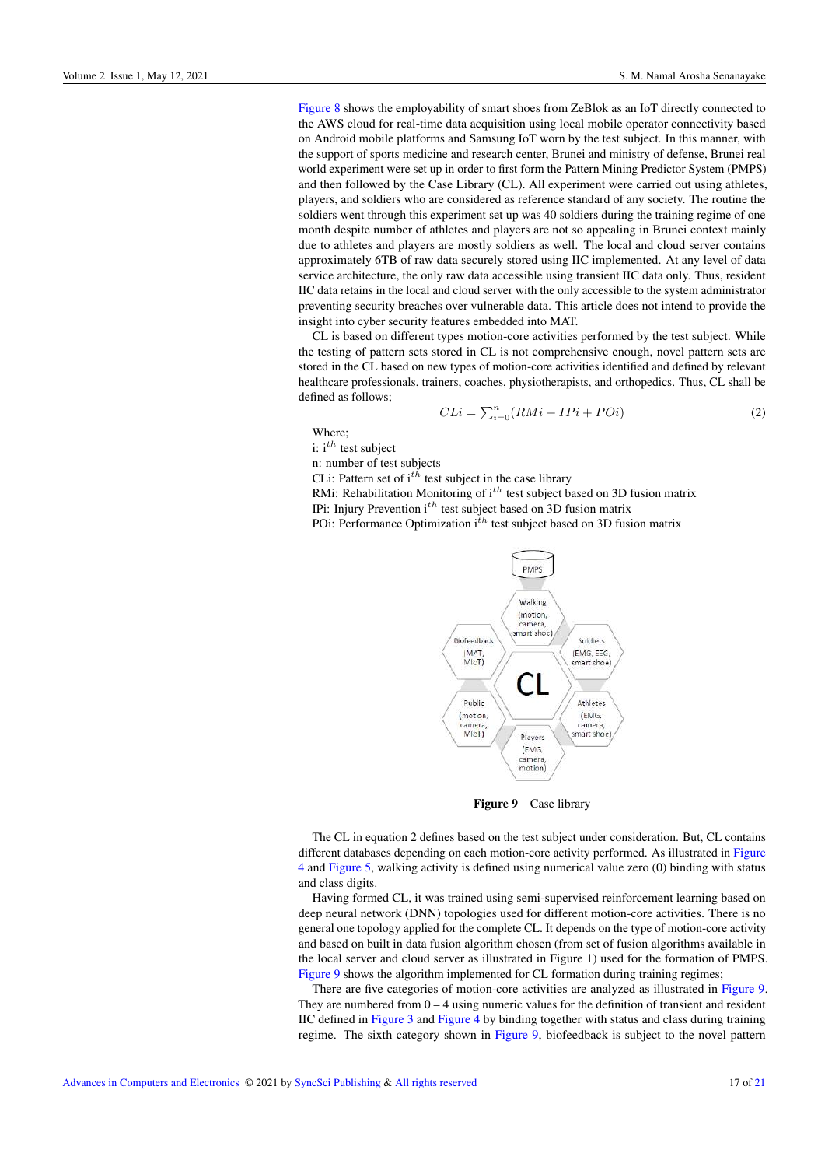[Figure 8](#page-6-2) shows the employability of smart shoes from ZeBlok as an IoT directly connected to the AWS cloud for real-time data acquisition using local mobile operator connectivity based on Android mobile platforms and Samsung IoT worn by the test subject. In this manner, with the support of sports medicine and research center, Brunei and ministry of defense, Brunei real world experiment were set up in order to first form the Pattern Mining Predictor System (PMPS) and then followed by the Case Library (CL). All experiment were carried out using athletes, players, and soldiers who are considered as reference standard of any society. The routine the soldiers went through this experiment set up was 40 soldiers during the training regime of one month despite number of athletes and players are not so appealing in Brunei context mainly due to athletes and players are mostly soldiers as well. The local and cloud server contains approximately 6TB of raw data securely stored using IIC implemented. At any level of data service architecture, the only raw data accessible using transient IIC data only. Thus, resident IIC data retains in the local and cloud server with the only accessible to the system administrator preventing security breaches over vulnerable data. This article does not intend to provide the insight into cyber security features embedded into MAT.

CL is based on different types motion-core activities performed by the test subject. While the testing of pattern sets stored in CL is not comprehensive enough, novel pattern sets are stored in the CL based on new types of motion-core activities identified and defined by relevant healthcare professionals, trainers, coaches, physiotherapists, and orthopedics. Thus, CL shall be defined as follows;

$$
CLi = \sum_{i=0}^{n} (RMi + IPi + POi)
$$
 (2)

Where;

i:  $i^{th}$  test subject

n: number of test subjects

CLi: Pattern set of  $i^{th}$  test subject in the case library

RMi: Rehabilitation Monitoring of  $i^{th}$  test subject based on 3D fusion matrix IPi: Injury Prevention  $i<sup>th</sup>$  test subject based on 3D fusion matrix

<span id="page-7-0"></span>



Figure 9 Case library

The CL in equation 2 defines based on the test subject under consideration. But, CL contains different databases depending on each motion-core activity performed. As illustrated in [Figure](#page-4-0) [4](#page-4-0) and [Figure 5,](#page-5-0) walking activity is defined using numerical value zero (0) binding with status and class digits.

Having formed CL, it was trained using semi-supervised reinforcement learning based on deep neural network (DNN) topologies used for different motion-core activities. There is no general one topology applied for the complete CL. It depends on the type of motion-core activity and based on built in data fusion algorithm chosen (from set of fusion algorithms available in the local server and cloud server as illustrated in Figure 1) used for the formation of PMPS. [Figure 9](#page-7-0) shows the algorithm implemented for CL formation during training regimes;

There are five categories of motion-core activities are analyzed as illustrated in [Figure 9.](#page-7-0) They are numbered from  $0 - 4$  using numeric values for the definition of transient and resident IIC defined in [Figure 3](#page-3-1) and [Figure 4](#page-4-0) by binding together with status and class during training regime. The sixth category shown in [Figure 9,](#page-7-0) biofeedback is subject to the novel pattern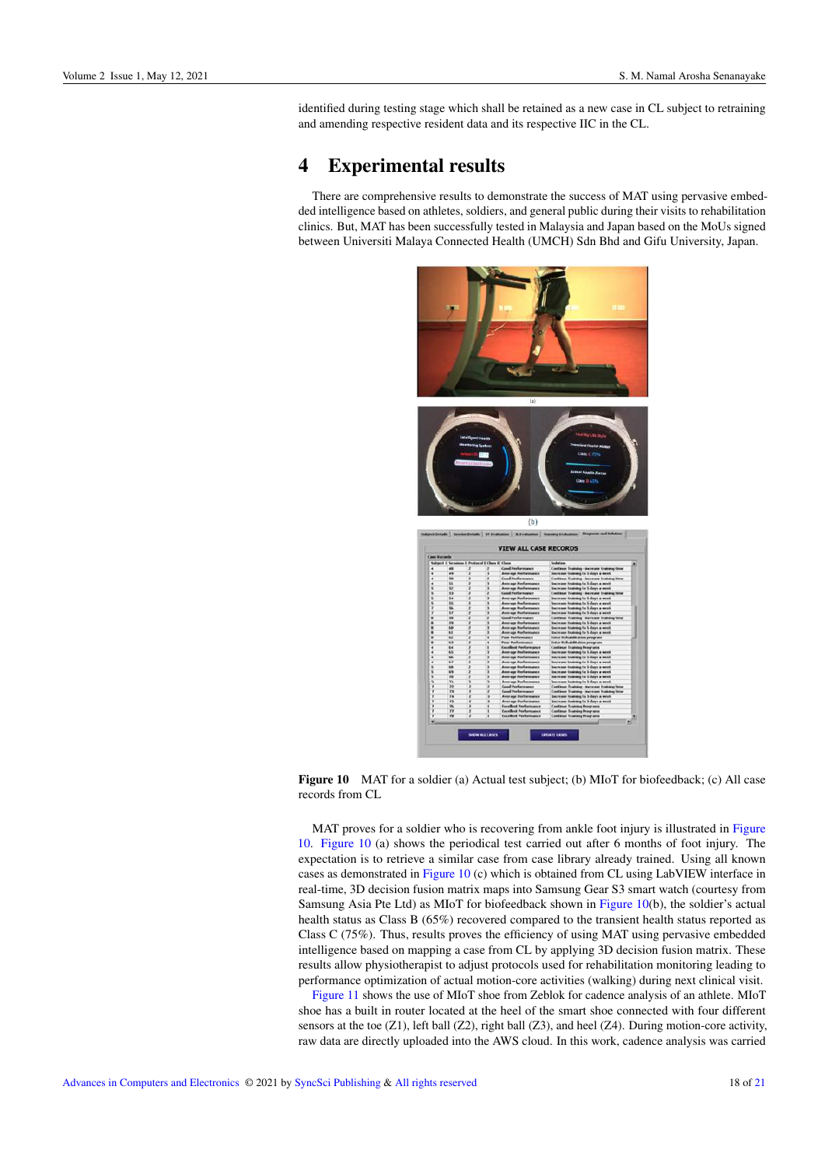identified during testing stage which shall be retained as a new case in CL subject to retraining and amending respective resident data and its respective IIC in the CL.

# 4 Experimental results

<span id="page-8-0"></span>There are comprehensive results to demonstrate the success of MAT using pervasive embedded intelligence based on athletes, soldiers, and general public during their visits to rehabilitation clinics. But, MAT has been successfully tested in Malaysia and Japan based on the MoUs signed between Universiti Malaya Connected Health (UMCH) Sdn Bhd and Gifu University, Japan.



Figure 10 MAT for a soldier (a) Actual test subject; (b) MIoT for biofeedback; (c) All case records from CL

MAT proves for a soldier who is recovering from ankle foot injury is illustrated in [Figure](#page-8-0) [10.](#page-8-0) [Figure 10](#page-8-0) (a) shows the periodical test carried out after 6 months of foot injury. The expectation is to retrieve a similar case from case library already trained. Using all known cases as demonstrated in [Figure 10](#page-8-0) (c) which is obtained from CL using LabVIEW interface in real-time, 3D decision fusion matrix maps into Samsung Gear S3 smart watch (courtesy from Samsung Asia Pte Ltd) as MIoT for biofeedback shown in [Figure 10\(](#page-8-0)b), the soldier's actual health status as Class B (65%) recovered compared to the transient health status reported as Class C (75%). Thus, results proves the efficiency of using MAT using pervasive embedded intelligence based on mapping a case from CL by applying 3D decision fusion matrix. These results allow physiotherapist to adjust protocols used for rehabilitation monitoring leading to performance optimization of actual motion-core activities (walking) during next clinical visit.

[Figure 11](#page-9-0) shows the use of MIoT shoe from Zeblok for cadence analysis of an athlete. MIoT shoe has a built in router located at the heel of the smart shoe connected with four different sensors at the toe  $(Z1)$ , left ball  $(Z2)$ , right ball  $(Z3)$ , and heel  $(Z4)$ . During motion-core activity, raw data are directly uploaded into the AWS cloud. In this work, cadence analysis was carried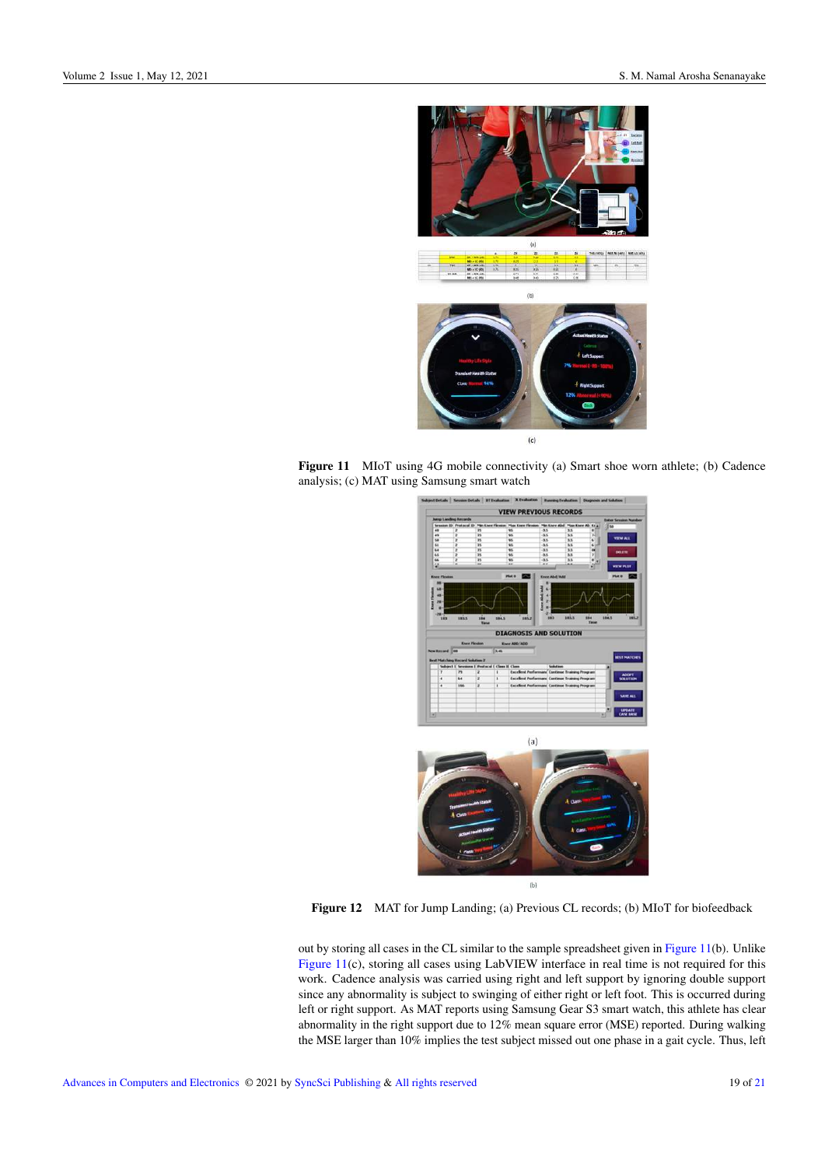<span id="page-9-0"></span>

Figure 11 MIoT using 4G mobile connectivity (a) Smart shoe worn athlete; (b) Cadence analysis; (c) MAT using Samsung smart watch

<span id="page-9-1"></span>



Figure 12 MAT for Jump Landing; (a) Previous CL records; (b) MIoT for biofeedback

out by storing all cases in the CL similar to the sample spreadsheet given in [Figure 11\(](#page-9-0)b). Unlike [Figure 11\(](#page-9-0)c), storing all cases using LabVIEW interface in real time is not required for this work. Cadence analysis was carried using right and left support by ignoring double support since any abnormality is subject to swinging of either right or left foot. This is occurred during left or right support. As MAT reports using Samsung Gear S3 smart watch, this athlete has clear abnormality in the right support due to 12% mean square error (MSE) reported. During walking the MSE larger than 10% implies the test subject missed out one phase in a gait cycle. Thus, left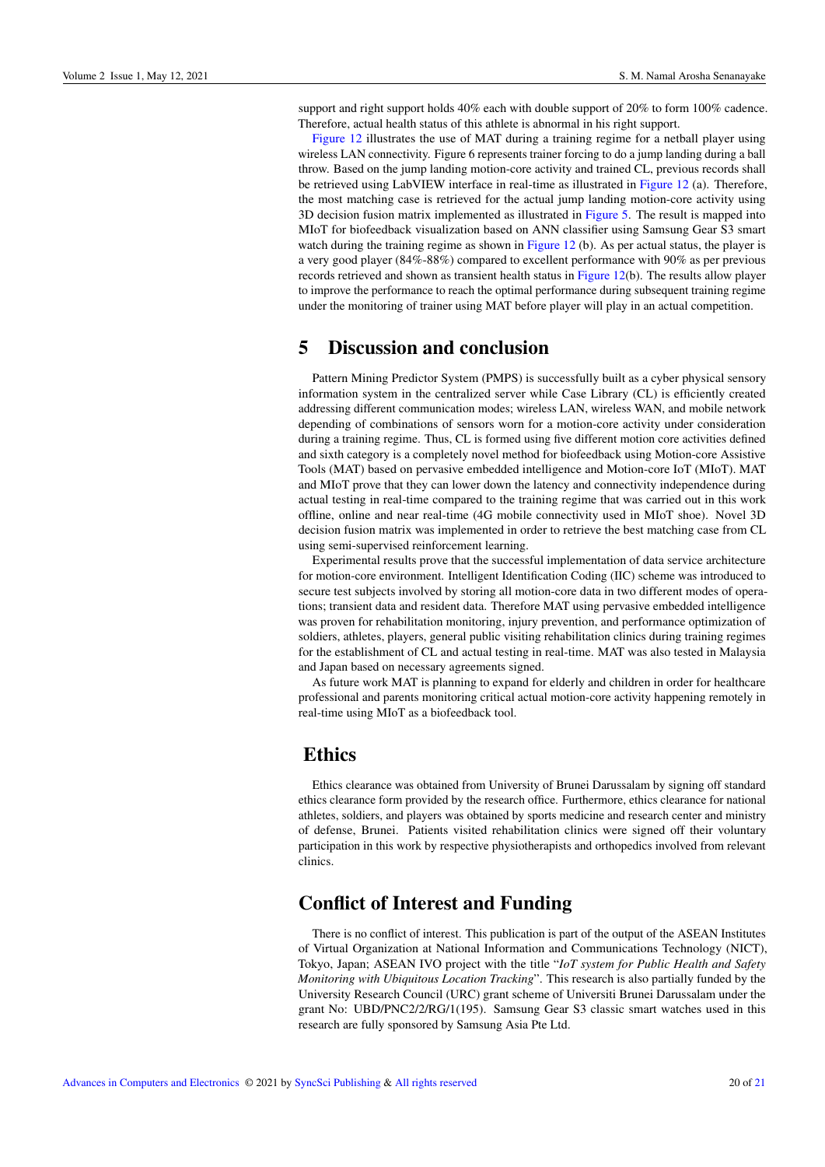support and right support holds 40% each with double support of 20% to form 100% cadence. Therefore, actual health status of this athlete is abnormal in his right support.

[Figure 12](#page-9-1) illustrates the use of MAT during a training regime for a netball player using wireless LAN connectivity. Figure 6 represents trainer forcing to do a jump landing during a ball throw. Based on the jump landing motion-core activity and trained CL, previous records shall be retrieved using LabVIEW interface in real-time as illustrated in [Figure 12](#page-9-1) (a). Therefore, the most matching case is retrieved for the actual jump landing motion-core activity using 3D decision fusion matrix implemented as illustrated in [Figure 5.](#page-5-0) The result is mapped into MIoT for biofeedback visualization based on ANN classifier using Samsung Gear S3 smart watch during the training regime as shown in [Figure 12](#page-9-1) (b). As per actual status, the player is a very good player (84%-88%) compared to excellent performance with 90% as per previous records retrieved and shown as transient health status in [Figure 12\(](#page-9-1)b). The results allow player to improve the performance to reach the optimal performance during subsequent training regime under the monitoring of trainer using MAT before player will play in an actual competition.

## 5 Discussion and conclusion

Pattern Mining Predictor System (PMPS) is successfully built as a cyber physical sensory information system in the centralized server while Case Library (CL) is efficiently created addressing different communication modes; wireless LAN, wireless WAN, and mobile network depending of combinations of sensors worn for a motion-core activity under consideration during a training regime. Thus, CL is formed using five different motion core activities defined and sixth category is a completely novel method for biofeedback using Motion-core Assistive Tools (MAT) based on pervasive embedded intelligence and Motion-core IoT (MIoT). MAT and MIoT prove that they can lower down the latency and connectivity independence during actual testing in real-time compared to the training regime that was carried out in this work offline, online and near real-time (4G mobile connectivity used in MIoT shoe). Novel 3D decision fusion matrix was implemented in order to retrieve the best matching case from CL using semi-supervised reinforcement learning.

Experimental results prove that the successful implementation of data service architecture for motion-core environment. Intelligent Identification Coding (IIC) scheme was introduced to secure test subjects involved by storing all motion-core data in two different modes of operations; transient data and resident data. Therefore MAT using pervasive embedded intelligence was proven for rehabilitation monitoring, injury prevention, and performance optimization of soldiers, athletes, players, general public visiting rehabilitation clinics during training regimes for the establishment of CL and actual testing in real-time. MAT was also tested in Malaysia and Japan based on necessary agreements signed.

As future work MAT is planning to expand for elderly and children in order for healthcare professional and parents monitoring critical actual motion-core activity happening remotely in real-time using MIoT as a biofeedback tool.

## **Ethics**

Ethics clearance was obtained from University of Brunei Darussalam by signing off standard ethics clearance form provided by the research office. Furthermore, ethics clearance for national athletes, soldiers, and players was obtained by sports medicine and research center and ministry of defense, Brunei. Patients visited rehabilitation clinics were signed off their voluntary participation in this work by respective physiotherapists and orthopedics involved from relevant clinics.

# Conflict of Interest and Funding

There is no conflict of interest. This publication is part of the output of the ASEAN Institutes of Virtual Organization at National Information and Communications Technology (NICT), Tokyo, Japan; ASEAN IVO project with the title "*IoT system for Public Health and Safety Monitoring with Ubiquitous Location Tracking*". This research is also partially funded by the University Research Council (URC) grant scheme of Universiti Brunei Darussalam under the grant No: UBD/PNC2/2/RG/1(195). Samsung Gear S3 classic smart watches used in this research are fully sponsored by Samsung Asia Pte Ltd.